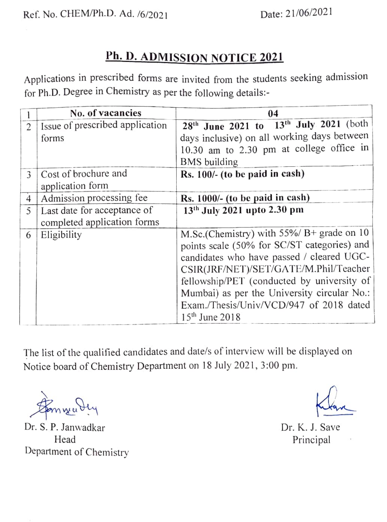## Ph. D. ADMISSION NOTICE 2021

Applications in prescribed forms are invited from the students seeking admission for Ph.D. Degree in Chemistry as per the following details:-

|                | No. of vacancies                | 04                                                             |
|----------------|---------------------------------|----------------------------------------------------------------|
| $\overline{c}$ | Issue of prescribed application | 28 <sup>th</sup> June 2021 to 13 <sup>th</sup> July 2021 (both |
|                | forms                           | days inclusive) on all working days between                    |
|                |                                 | 10.30 am to 2.30 pm at college office in                       |
|                |                                 | <b>BMS</b> building                                            |
| 3              | Cost of brochure and            | $Rs. 100/-$ (to be paid in cash)                               |
|                | application form                |                                                                |
| $\overline{4}$ | Admission processing fee        | Rs. 1000/- (to be paid in cash)                                |
| 5              | Last date for acceptance of     | 13 <sup>th</sup> July 2021 upto 2.30 pm                        |
|                | completed application forms     |                                                                |
| 6              | Eligibility                     | M.Sc.(Chemistry) with 55%/ B+ grade on 10                      |
|                |                                 | points scale (50% for SC/ST categories) and                    |
|                |                                 | candidates who have passed / cleared UGC-                      |
|                |                                 | CSIR(JRF/NET)/SET/GATE/M.Phil/Teacher                          |
|                |                                 | fellowship/PET (conducted by university of                     |
|                |                                 | Mumbai) as per the University circular No.:                    |
|                |                                 | Exam./Thesis/Univ/VCD/947 of 2018 dated                        |
|                |                                 | $15th$ June 2018                                               |

The list of the qualified candidates and date/s of interview will be displayed on Notice board of Chemistry Department on 18 July 2021, 3:00 pm.

Formwadey

Dr. S. P. Janwadkar Dr. K. J. Save Head Principal Department of Chemistry